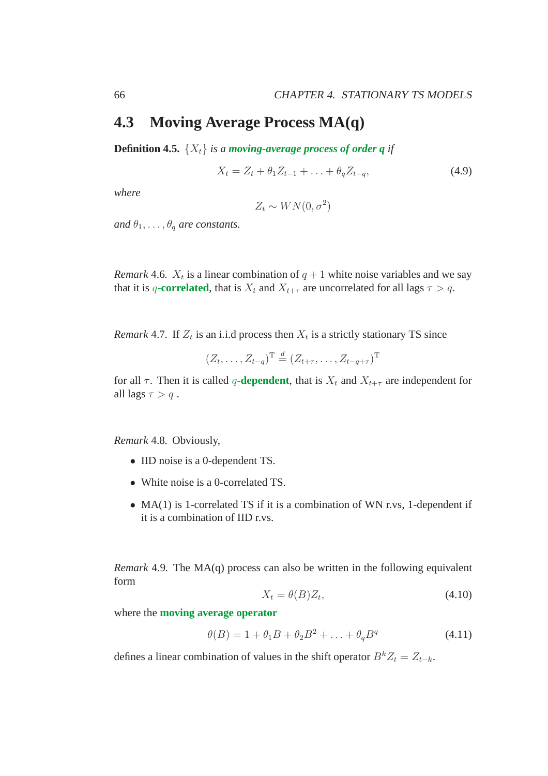# **4.3 Moving Average Process MA(q)**

**Definition 4.5.**  $\{X_t\}$  *is a moving-average process of order q if* 

$$
X_t = Z_t + \theta_1 Z_{t-1} + \ldots + \theta_q Z_{t-q}, \tag{4.9}
$$

*where*

$$
Z_t \sim WN(0,\sigma^2)
$$

*and*  $\theta_1, \ldots, \theta_q$  *are constants.* 

*Remark* 4.6*.*  $X_t$  is a linear combination of  $q + 1$  white noise variables and we say that it is q-**correlated**, that is  $X_t$  and  $X_{t+\tau}$  are uncorrelated for all lags  $\tau > q$ .

*Remark* 4.7. If  $Z_t$  is an i.i.d process then  $X_t$  is a strictly stationary TS since

$$
(Z_t, \ldots, Z_{t-q})^{\mathrm{T}} \stackrel{d}{=} (Z_{t+\tau}, \ldots, Z_{t-q+\tau})^{\mathrm{T}}
$$

for all  $\tau$ . Then it is called q-dependent, that is  $X_t$  and  $X_{t+\tau}$  are independent for all lags  $\tau > q$ .

*Remark* 4.8*.* Obviously,

- IID noise is a 0-dependent TS.
- White noise is a 0-correlated TS.
- MA(1) is 1-correlated TS if it is a combination of WN r.vs, 1-dependent if it is a combination of IID r.vs.

*Remark* 4.9*.* The MA(q) process can also be written in the following equivalent form

$$
X_t = \theta(B)Z_t,\tag{4.10}
$$

where the **moving average operator**

$$
\theta(B) = 1 + \theta_1 B + \theta_2 B^2 + \ldots + \theta_q B^q \tag{4.11}
$$

defines a linear combination of values in the shift operator  $B^k Z_t = Z_{t-k}$ .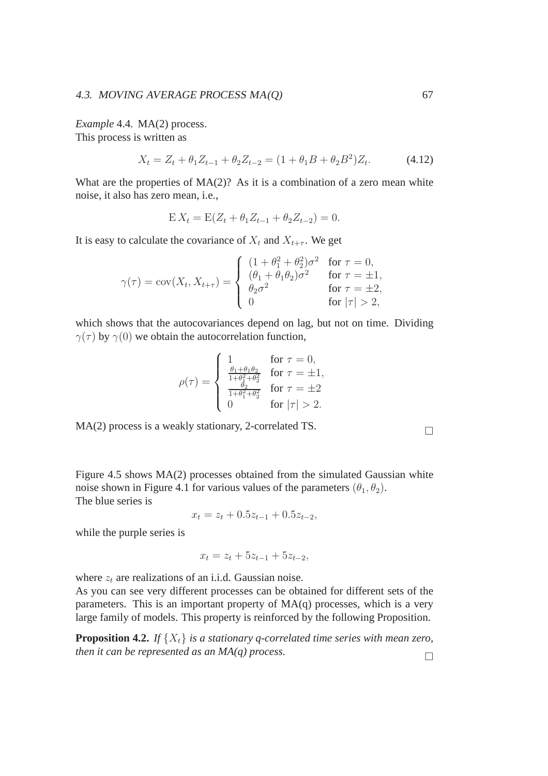*Example* 4.4*.* MA(2) process. This process is written as

$$
X_t = Z_t + \theta_1 Z_{t-1} + \theta_2 Z_{t-2} = (1 + \theta_1 B + \theta_2 B^2) Z_t.
$$
 (4.12)

What are the properties of  $MA(2)$ ? As it is a combination of a zero mean white noise, it also has zero mean, i.e.,

$$
E X_t = E(Z_t + \theta_1 Z_{t-1} + \theta_2 Z_{t-2}) = 0.
$$

It is easy to calculate the covariance of  $X_t$  and  $X_{t+\tau}$ . We get

$$
\gamma(\tau) = \text{cov}(X_t, X_{t+\tau}) = \begin{cases} (1 + \theta_1^2 + \theta_2^2)\sigma^2 & \text{for } \tau = 0, \\ (\theta_1 + \theta_1\theta_2)\sigma^2 & \text{for } \tau = \pm 1, \\ \theta_2\sigma^2 & \text{for } \tau = \pm 2, \\ 0 & \text{for } |\tau| > 2, \end{cases}
$$

which shows that the autocovariances depend on lag, but not on time. Dividing  $\gamma(\tau)$  by  $\gamma(0)$  we obtain the autocorrelation function,

$$
\rho(\tau) = \begin{cases}\n1 & \text{for } \tau = 0, \\
\frac{\theta_1 + \theta_1 \theta_2}{1 + \theta_1^2 + \theta_2^2} & \text{for } \tau = \pm 1, \\
\frac{\theta_2}{1 + \theta_1^2 + \theta_2^2} & \text{for } \tau = \pm 2 \\
0 & \text{for } |\tau| > 2.\n\end{cases}
$$

MA(2) process is a weakly stationary, 2-correlated TS.

Figure 4.5 shows MA(2) processes obtained from the simulated Gaussian white noise shown in Figure 4.1 for various values of the parameters  $(\theta_1, \theta_2)$ . The blue series is

 $x_t = z_t + 0.5z_{t-1} + 0.5z_{t-2}$ 

while the purple series is

$$
x_t = z_t + 5z_{t-1} + 5z_{t-2},
$$

where  $z_t$  are realizations of an i.i.d. Gaussian noise.

As you can see very different processes can be obtained for different sets of the parameters. This is an important property of  $MA(q)$  processes, which is a very large family of models. This property is reinforced by the following Proposition.

**Proposition 4.2.** *If*  $\{X_t\}$  *is a stationary q-correlated time series with mean zero, then it can be represented as an MA(q) process.*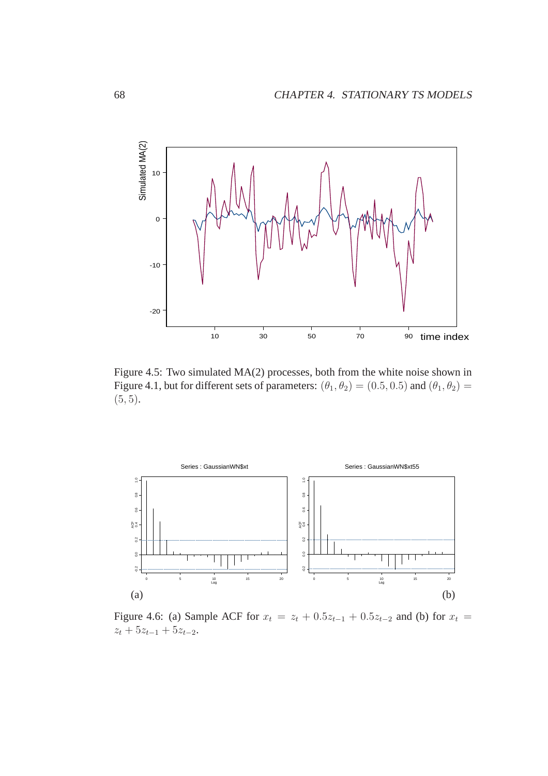

Figure 4.5: Two simulated MA(2) processes, both from the white noise shown in Figure 4.1, but for different sets of parameters:  $(\theta_1, \theta_2) = (0.5, 0.5)$  and  $(\theta_1, \theta_2) =$  $(5, 5)$ .



Figure 4.6: (a) Sample ACF for  $x_t = z_t + 0.5z_{t-1} + 0.5z_{t-2}$  and (b) for  $x_t =$  $z_t + 5z_{t-1} + 5z_{t-2}.$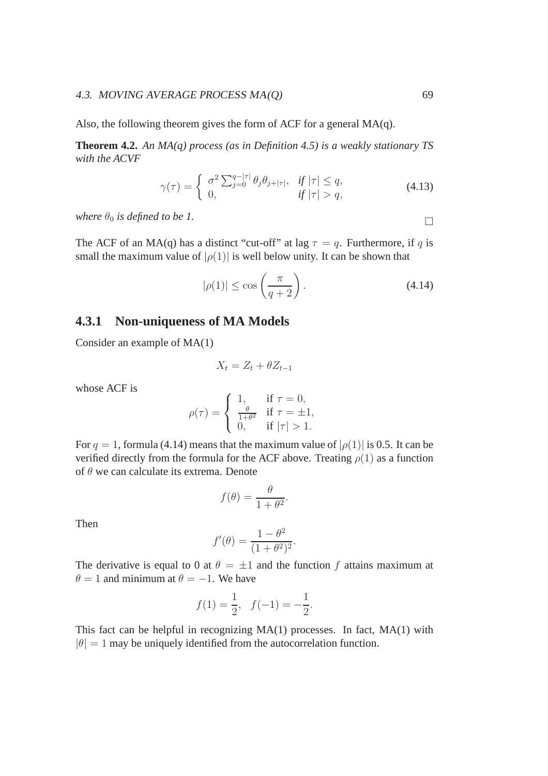#### 4.3. MOVING AVERAGE PROCESS MA(Q) 69

Also, the following theorem gives the form of ACF for a general MA(q).

**Theorem 4.2.** *An MA(q) process (as in Definition 4.5) is a weakly stationary TS with the ACVF*

$$
\gamma(\tau) = \begin{cases}\n\sigma^2 \sum_{j=0}^{q-|\tau|} \theta_j \theta_{j+|\tau|}, & \text{if } |\tau| \le q, \\
0, & \text{if } |\tau| > q,\n\end{cases}
$$
\n(4.13)

*where*  $\theta_0$  *is defined to be 1.*  $\Box$ 

The ACF of an MA(q) has a distinct "cut-off" at lag  $\tau = q$ . Furthermore, if q is small the maximum value of  $|\rho(1)|$  is well below unity. It can be shown that

$$
|\rho(1)| \le \cos\left(\frac{\pi}{q+2}\right). \tag{4.14}
$$

## **4.3.1 Non-uniqueness of MA Models**

Consider an example of MA(1)

$$
X_t = Z_t + \theta Z_{t-1}
$$

whose ACF is

$$
\rho(\tau) = \begin{cases} 1, & \text{if } \tau = 0, \\ \frac{\theta}{1 + \theta^2} & \text{if } \tau = \pm 1, \\ 0, & \text{if } |\tau| > 1. \end{cases}
$$

For  $q = 1$ , formula (4.14) means that the maximum value of  $|\rho(1)|$  is 0.5. It can be verified directly from the formula for the ACF above. Treating  $\rho(1)$  as a function of  $\theta$  we can calculate its extrema. Denote

$$
f(\theta) = \frac{\theta}{1 + \theta^2}.
$$

Then

$$
f'(\theta) = \frac{1 - \theta^2}{(1 + \theta^2)^2}.
$$

The derivative is equal to 0 at  $\theta = \pm 1$  and the function f attains maximum at  $\theta = 1$  and minimum at  $\theta = -1$ . We have

$$
f(1) = \frac{1}{2}, \quad f(-1) = -\frac{1}{2}.
$$

This fact can be helpful in recognizing MA(1) processes. In fact, MA(1) with  $|\theta| = 1$  may be uniquely identified from the autocorrelation function.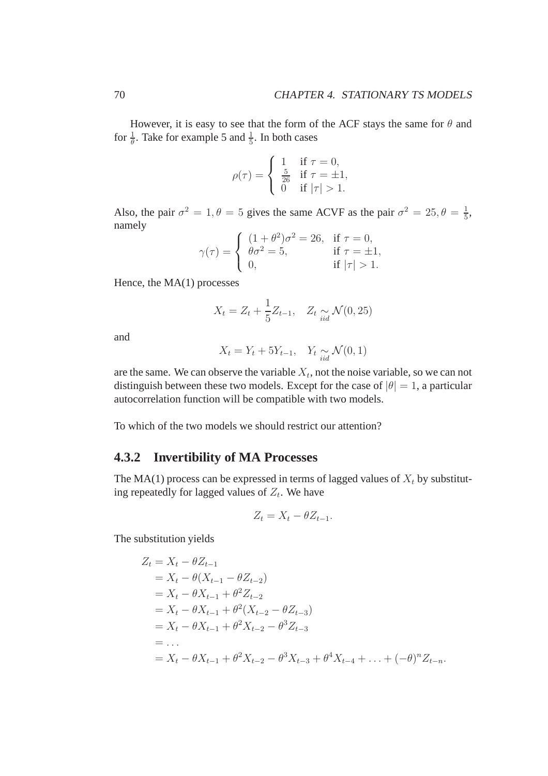However, it is easy to see that the form of the ACF stays the same for  $\theta$  and for  $\frac{1}{\theta}$ . Take for example 5 and  $\frac{1}{5}$ . In both cases

$$
\rho(\tau) = \begin{cases} 1 & \text{if } \tau = 0, \\ \frac{5}{26} & \text{if } \tau = \pm 1, \\ 0 & \text{if } |\tau| > 1. \end{cases}
$$

Also, the pair  $\sigma^2 = 1, \theta = 5$  gives the same ACVF as the pair  $\sigma^2 = 25, \theta = \frac{1}{5}$  $\frac{1}{5}$ , namely

$$
\gamma(\tau) = \begin{cases}\n(1 + \theta^2)\sigma^2 = 26, & \text{if } \tau = 0, \\
\theta\sigma^2 = 5, & \text{if } \tau = \pm 1, \\
0, & \text{if } |\tau| > 1.\n\end{cases}
$$

Hence, the MA(1) processes

$$
X_t = Z_t + \frac{1}{5} Z_{t-1}, \quad Z_t \underset{iid}{\sim} \mathcal{N}(0, 25)
$$

and

$$
X_t = Y_t + 5Y_{t-1}, \quad Y_t \underset{iid}{\sim} \mathcal{N}(0, 1)
$$

are the same. We can observe the variable  $X_t$ , not the noise variable, so we can not distinguish between these two models. Except for the case of  $|\theta| = 1$ , a particular autocorrelation function will be compatible with two models.

To which of the two models we should restrict our attention?

## **4.3.2 Invertibility of MA Processes**

The MA(1) process can be expressed in terms of lagged values of  $X_t$  by substituting repeatedly for lagged values of  $Z_t$ . We have

$$
Z_t = X_t - \theta Z_{t-1}.
$$

The substitution yields

$$
Z_t = X_t - \theta Z_{t-1}
$$
  
=  $X_t - \theta (X_{t-1} - \theta Z_{t-2})$   
=  $X_t - \theta X_{t-1} + \theta^2 Z_{t-2}$   
=  $X_t - \theta X_{t-1} + \theta^2 (X_{t-2} - \theta Z_{t-3})$   
=  $X_t - \theta X_{t-1} + \theta^2 X_{t-2} - \theta^3 Z_{t-3}$   
= ...  
=  $X_t - \theta X_{t-1} + \theta^2 X_{t-2} - \theta^3 X_{t-3} + \theta^4 X_{t-4} + ... + (-\theta)^n Z_{t-n}$ .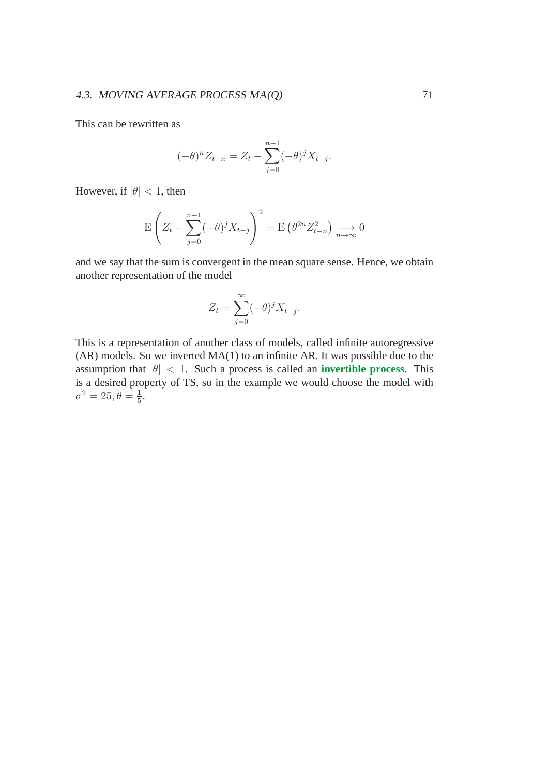### 4.3. MOVING AVERAGE PROCESS MA(Q) 71

This can be rewritten as

$$
(-\theta)^n Z_{t-n} = Z_t - \sum_{j=0}^{n-1} (-\theta)^j X_{t-j}.
$$

However, if  $|\theta| < 1$ , then

$$
\mathcal{E}\left(Z_t - \sum_{j=0}^{n-1} (-\theta)^j X_{t-j}\right)^2 = \mathcal{E}\left(\theta^{2n} Z_{t-n}^2\right) \xrightarrow[n \to \infty]{} 0
$$

and we say that the sum is convergent in the mean square sense. Hence, we obtain another representation of the model

$$
Z_t = \sum_{j=0}^{\infty} (-\theta)^j X_{t-j}.
$$

This is a representation of another class of models, called infinite autoregressive (AR) models. So we inverted MA(1) to an infinite AR. It was possible due to the assumption that  $|\theta|$  < 1. Such a process is called an **invertible process**. This is a desired property of TS, so in the example we would choose the model with  $\sigma^2 = 25, \theta = \frac{1}{5}$  $\frac{1}{5}$ .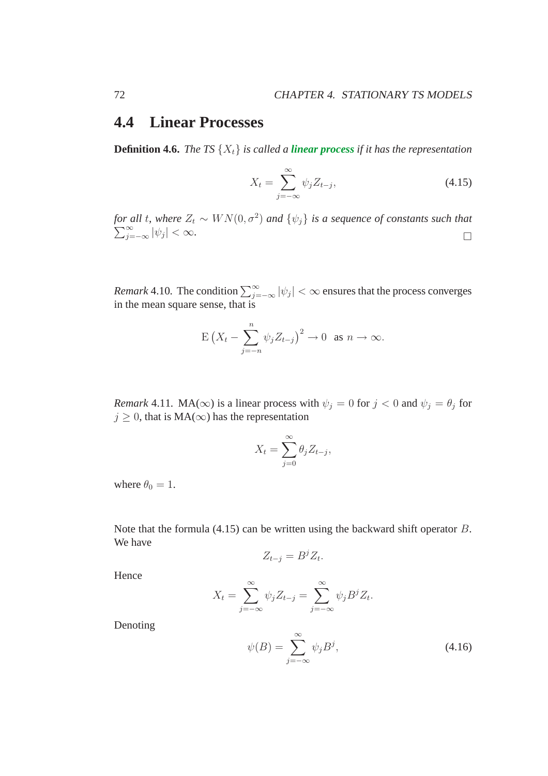# **4.4 Linear Processes**

**Definition 4.6.** *The TS*  $\{X_t\}$  *is called a <i>linear process if it has the representation* 

$$
X_t = \sum_{j=-\infty}^{\infty} \psi_j Z_{t-j},\tag{4.15}
$$

*for all t, where*  $Z_t \sim WN(0, \sigma^2)$  $\sum$ *c* all t, where  $Z_t \sim WN(0, \sigma^2)$  and  $\{\psi_j\}$  is a sequence of constants such that  $\sum_{j=-\infty}^{\infty} |\psi_j| < \infty$ .

*Remark* 4.10. The condition  $\sum_{j=-\infty}^{\infty} |\psi_j| < \infty$  ensures that the process converges in the mean square sense, that is

$$
\mathbb{E}\left(X_t-\sum_{j=-n}^n\psi_jZ_{t-j}\right)^2\to 0 \text{ as } n\to\infty.
$$

*Remark* 4.11*.* MA( $\infty$ ) is a linear process with  $\psi_j = 0$  for  $j < 0$  and  $\psi_j = \theta_j$  for  $j \geq 0$ , that is MA( $\infty$ ) has the representation

$$
X_t = \sum_{j=0}^{\infty} \theta_j Z_{t-j},
$$

where  $\theta_0 = 1$ .

Note that the formula (4.15) can be written using the backward shift operator B. We have

$$
Z_{t-j} = B^j Z_t.
$$

Hence

$$
X_t = \sum_{j=-\infty}^{\infty} \psi_j Z_{t-j} = \sum_{j=-\infty}^{\infty} \psi_j B^j Z_t.
$$

Denoting

$$
\psi(B) = \sum_{j=-\infty}^{\infty} \psi_j B^j,
$$
\n(4.16)